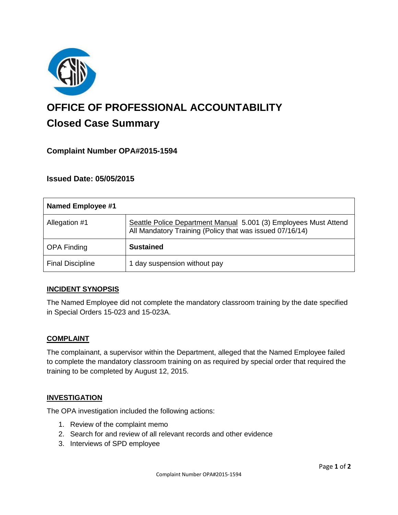

# **OFFICE OF PROFESSIONAL ACCOUNTABILITY Closed Case Summary**

## **Complaint Number OPA#2015-1594**

## **Issued Date: 05/05/2015**

| <b>Named Employee #1</b> |                                                                                                                              |
|--------------------------|------------------------------------------------------------------------------------------------------------------------------|
| Allegation #1            | Seattle Police Department Manual 5.001 (3) Employees Must Attend<br>All Mandatory Training (Policy that was issued 07/16/14) |
| <b>OPA Finding</b>       | <b>Sustained</b>                                                                                                             |
| <b>Final Discipline</b>  | 1 day suspension without pay                                                                                                 |

## **INCIDENT SYNOPSIS**

The Named Employee did not complete the mandatory classroom training by the date specified in Special Orders 15-023 and 15-023A.

#### **COMPLAINT**

The complainant, a supervisor within the Department, alleged that the Named Employee failed to complete the mandatory classroom training on as required by special order that required the training to be completed by August 12, 2015.

#### **INVESTIGATION**

The OPA investigation included the following actions:

- 1. Review of the complaint memo
- 2. Search for and review of all relevant records and other evidence
- 3. Interviews of SPD employee